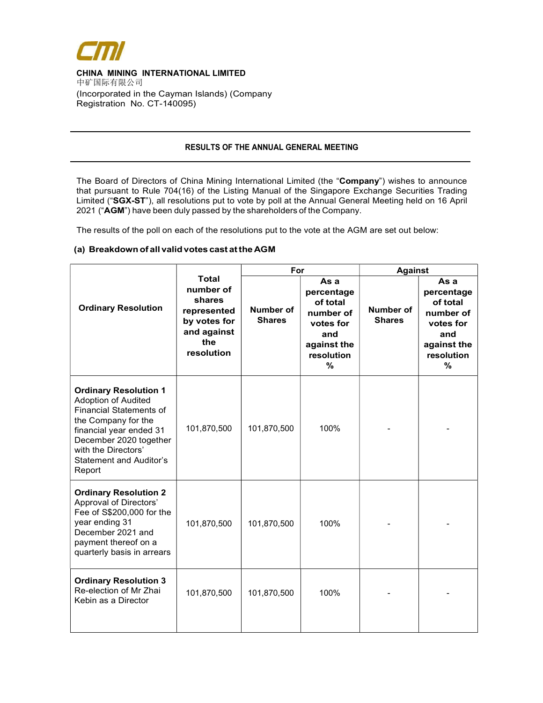

l

 $\overline{a}$ 

#### CHINA MINING INTERNATIONAL LIMITED 中矿国际有限公司 (Incorporated in the Cayman Islands) (Company

Registration No. CT-140095)

# RESULTS OF THE ANNUAL GENERAL MEETING

The Board of Directors of China Mining International Limited (the "Company") wishes to announce that pursuant to Rule 704(16) of the Listing Manual of the Singapore Exchange Securities Trading Limited ("SGX-ST"), all resolutions put to vote by poll at the Annual General Meeting held on 16 April 2021 ("AGM") have been duly passed by the shareholders of the Company.

The results of the poll on each of the resolutions put to the vote at the AGM are set out below:

# (a) Breakdown of all valid votes cast at the AGM

|                                                                                                                                                                                                                                             |                                                                                                        | For                               |                                                                                                   | <b>Against</b>             |                                                                                                   |
|---------------------------------------------------------------------------------------------------------------------------------------------------------------------------------------------------------------------------------------------|--------------------------------------------------------------------------------------------------------|-----------------------------------|---------------------------------------------------------------------------------------------------|----------------------------|---------------------------------------------------------------------------------------------------|
| <b>Ordinary Resolution</b>                                                                                                                                                                                                                  | <b>Total</b><br>number of<br>shares<br>represented<br>by votes for<br>and against<br>the<br>resolution | <b>Number of</b><br><b>Shares</b> | As a<br>percentage<br>of total<br>number of<br>votes for<br>and<br>against the<br>resolution<br>% | Number of<br><b>Shares</b> | As a<br>percentage<br>of total<br>number of<br>votes for<br>and<br>against the<br>resolution<br>% |
| <b>Ordinary Resolution 1</b><br><b>Adoption of Audited</b><br><b>Financial Statements of</b><br>the Company for the<br>financial year ended 31<br>December 2020 together<br>with the Directors'<br><b>Statement and Auditor's</b><br>Report | 101,870,500                                                                                            | 101,870,500                       | 100%                                                                                              |                            |                                                                                                   |
| <b>Ordinary Resolution 2</b><br>Approval of Directors'<br>Fee of S\$200,000 for the<br>year ending 31<br>December 2021 and<br>payment thereof on a<br>quarterly basis in arrears                                                            | 101,870,500                                                                                            | 101,870,500                       | 100%                                                                                              |                            |                                                                                                   |
| <b>Ordinary Resolution 3</b><br>Re-election of Mr Zhai<br>Kebin as a Director                                                                                                                                                               | 101,870,500                                                                                            | 101,870,500                       | 100%                                                                                              |                            |                                                                                                   |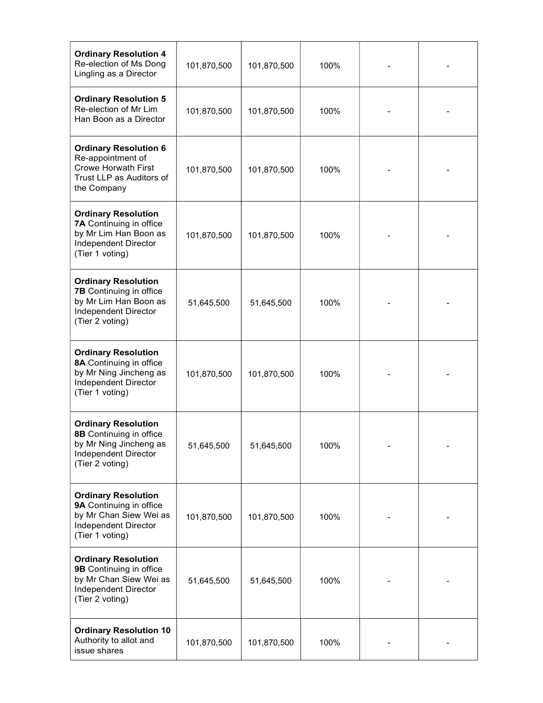| <b>Ordinary Resolution 4</b><br>Re-election of Ms Dong<br>Lingling as a Director                                                 | 101,870,500 | 101,870,500 | 100% |  |
|----------------------------------------------------------------------------------------------------------------------------------|-------------|-------------|------|--|
| <b>Ordinary Resolution 5</b><br>Re-election of Mr Lim<br>Han Boon as a Director                                                  | 101,870,500 | 101,870,500 | 100% |  |
| <b>Ordinary Resolution 6</b><br>Re-appointment of<br><b>Crowe Horwath First</b><br>Trust LLP as Auditors of<br>the Company       | 101,870,500 | 101,870,500 | 100% |  |
| <b>Ordinary Resolution</b><br>7A Continuing in office<br>by Mr Lim Han Boon as<br>Independent Director<br>(Tier 1 voting)        | 101,870,500 | 101,870,500 | 100% |  |
| <b>Ordinary Resolution</b><br><b>7B</b> Continuing in office<br>by Mr Lim Han Boon as<br>Independent Director<br>(Tier 2 voting) | 51,645,500  | 51,645,500  | 100% |  |
| <b>Ordinary Resolution</b><br>8A Continuing in office<br>by Mr Ning Jincheng as<br>Independent Director<br>(Tier 1 voting)       | 101,870,500 | 101,870,500 | 100% |  |
| <b>Ordinary Resolution</b><br>8B Continuing in office<br>by Mr Ning Jincheng as<br>Independent Director<br>(Tier 2 voting)       | 51,645,500  | 51,645,500  | 100% |  |
| <b>Ordinary Resolution</b><br>9A Continuing in office<br>by Mr Chan Siew Wei as<br>Independent Director<br>(Tier 1 voting)       | 101,870,500 | 101,870,500 | 100% |  |
| <b>Ordinary Resolution</b><br>9B Continuing in office<br>by Mr Chan Siew Wei as<br>Independent Director<br>(Tier 2 voting)       | 51,645,500  | 51,645,500  | 100% |  |
| <b>Ordinary Resolution 10</b><br>Authority to allot and<br>issue shares                                                          | 101,870,500 | 101,870,500 | 100% |  |